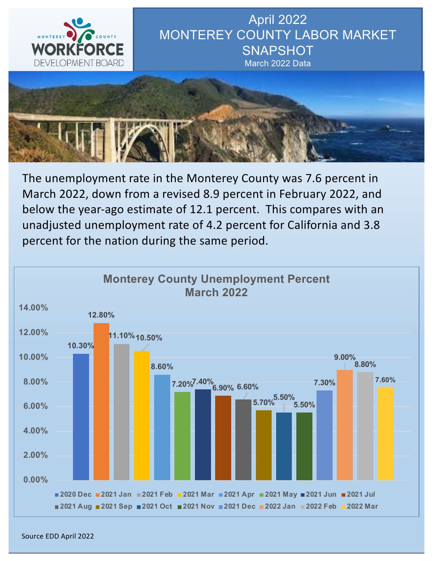

April 2022 MONTEREY COUNTY LABOR MARKET **SNAPSHOT** March 2022 Data



The unemployment rate in the Monterey County was 7.6 percent in March 2022, down from a revised 8.9 percent in February 2022, and below the year-ago estimate of 12.1 percent. This compares with an unadjusted unemployment rate of 4.2 percent for California and 3.8 percent for the nation during the same period.



Source EDD April 2022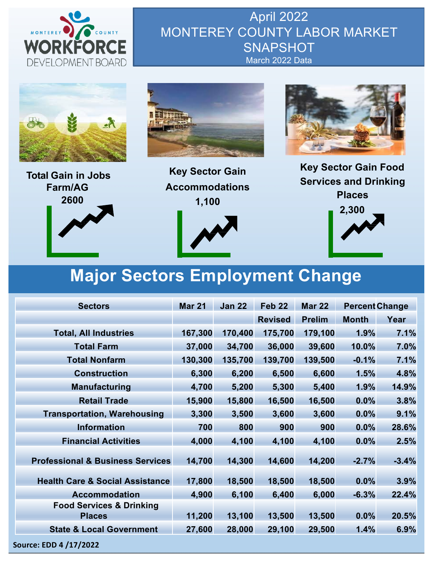

April 2022 MONTEREY COUNTY LABOR MARKET **SNAPSHOT** March 2022 Data







**Key Sector Gain Accommodations 1,100**





**Key Sector Gain Food Services and Drinking Places**



# **Major Sectors Employment Change**

| <b>Sectors</b>                                       | <b>Mar 21</b> | <b>Jan 22</b> | Feb <sub>22</sub> | <b>Mar 22</b> | <b>Percent Change</b> |         |  |
|------------------------------------------------------|---------------|---------------|-------------------|---------------|-----------------------|---------|--|
|                                                      |               |               | <b>Revised</b>    | <b>Prelim</b> | <b>Month</b>          | Year    |  |
| <b>Total, All Industries</b>                         | 167,300       | 170,400       | 175,700           | 179,100       | 1.9%                  | 7.1%    |  |
| <b>Total Farm</b>                                    | 37,000        | 34,700        | 36,000            | 39,600        | 10.0%                 | 7.0%    |  |
| <b>Total Nonfarm</b>                                 | 130,300       | 135,700       | 139,700           | 139,500       | $-0.1%$               | 7.1%    |  |
| <b>Construction</b>                                  | 6,300         | 6,200         | 6,500             | 6,600         | 1.5%                  | 4.8%    |  |
| <b>Manufacturing</b>                                 | 4,700         | 5,200         | 5,300             | 5,400         | 1.9%                  | 14.9%   |  |
| <b>Retail Trade</b>                                  | 15,900        | 15,800        | 16,500            | 16,500        | 0.0%                  | 3.8%    |  |
| <b>Transportation, Warehousing</b>                   | 3,300         | 3,500         | 3,600             | 3,600         | 0.0%                  | 9.1%    |  |
| <b>Information</b>                                   | 700           | 800           | 900               | 900           | 0.0%                  | 28.6%   |  |
| <b>Financial Activities</b>                          | 4,000         | 4,100         | 4,100             | 4,100         | 0.0%                  | 2.5%    |  |
| <b>Professional &amp; Business Services</b>          | 14,700        | 14,300        | 14,600            | 14,200        | $-2.7%$               | $-3.4%$ |  |
| <b>Health Care &amp; Social Assistance</b>           | 17,800        | 18,500        | 18,500            | 18,500        | 0.0%                  | 3.9%    |  |
| <b>Accommodation</b>                                 | 4,900         | 6,100         | 6,400             | 6,000         | $-6.3%$               | 22.4%   |  |
| <b>Food Services &amp; Drinking</b><br><b>Places</b> | 11,200        | 13,100        | 13,500            | 13,500        | 0.0%                  | 20.5%   |  |
| <b>State &amp; Local Government</b>                  | 27,600        | 28,000        | 29,100            | 29,500        | 1.4%                  | 6.9%    |  |
| Source: EDD 4 /17/2022                               |               |               |                   |               |                       |         |  |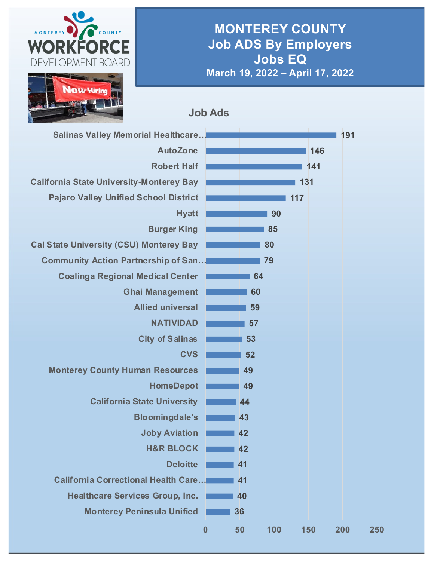

### **MONTEREY COUNTY Job ADS By Employers Jobs EQ March 19, 2022 – April 17, 2022**

**Job Ads**

| <b>Salinas Valley Memorial Healthcare</b>       |          |    |     |     | 191 |     |
|-------------------------------------------------|----------|----|-----|-----|-----|-----|
| <b>AutoZone</b>                                 |          |    |     | 146 |     |     |
| <b>Robert Half</b>                              |          |    |     | 141 |     |     |
| <b>California State University-Monterey Bay</b> |          |    | 131 |     |     |     |
| <b>Pajaro Valley Unified School District</b>    |          |    | 117 |     |     |     |
| <b>Hyatt</b>                                    |          |    | 90  |     |     |     |
| <b>Burger King</b>                              |          |    | 85  |     |     |     |
| <b>Cal State University (CSU) Monterey Bay</b>  |          | 80 |     |     |     |     |
| <b>Community Action Partnership of San</b>      |          | 79 |     |     |     |     |
| <b>Coalinga Regional Medical Center</b>         |          | 64 |     |     |     |     |
| <b>Ghai Management</b>                          |          | 60 |     |     |     |     |
| <b>Allied universal</b>                         |          | 59 |     |     |     |     |
| <b>NATIVIDAD</b>                                |          | 57 |     |     |     |     |
| <b>City of Salinas</b>                          |          | 53 |     |     |     |     |
| <b>CVS</b>                                      |          | 52 |     |     |     |     |
| <b>Monterey County Human Resources</b>          |          | 49 |     |     |     |     |
| <b>HomeDepot</b>                                |          | 49 |     |     |     |     |
| <b>California State University</b>              |          | 44 |     |     |     |     |
| <b>Bloomingdale's</b>                           |          | 43 |     |     |     |     |
| <b>Joby Aviation</b>                            |          | 42 |     |     |     |     |
| <b>H&amp;R BLOCK</b>                            |          | 42 |     |     |     |     |
| <b>Deloitte</b>                                 |          | 41 |     |     |     |     |
| <b>California Correctional Health Care</b>      |          | 41 |     |     |     |     |
| <b>Healthcare Services Group, Inc.</b>          |          | 40 |     |     |     |     |
| <b>Monterey Peninsula Unified</b>               | 36       |    |     |     |     |     |
|                                                 | $\bf{0}$ | 50 | 100 | 150 | 200 | 250 |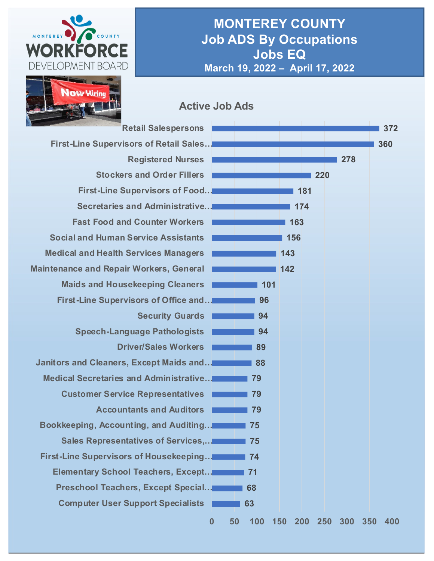

### **MONTEREY COUNTY Job ADS By Occupations Jobs EQ March 19, 2022 – April 17, 2022**



#### **Active Job Ads**

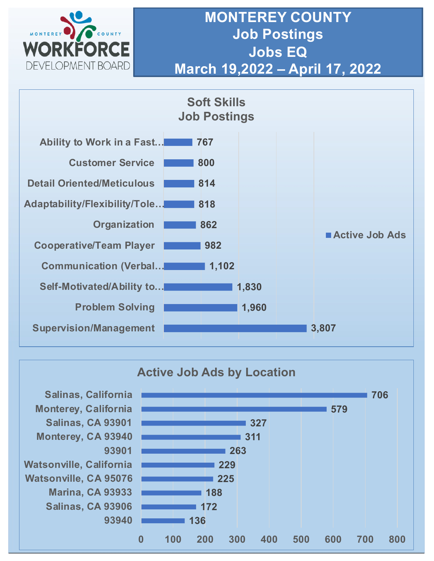

## **MONTEREY COUNTY Job Postings Jobs EQ March 19,2022 – April 17, 2022**